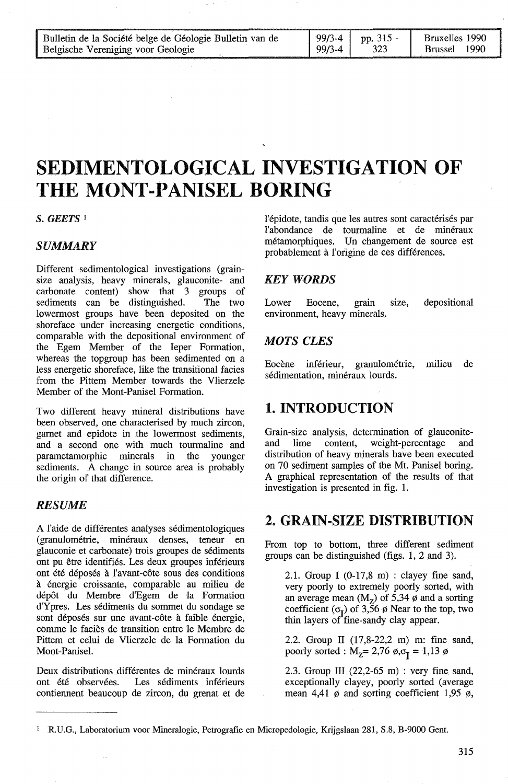| Bulletin de la Société belge de Géologie Bulletin van de |        | $\begin{bmatrix} 99/3-4 & 1$ pp. 315 - | Bruxelles 1990           |
|----------------------------------------------------------|--------|----------------------------------------|--------------------------|
| Belgische Vereniging voor Geologie                       | 99/3-4 | 323                                    | - 1990<br><b>Brussel</b> |

# **SEDIMENTOLOGICAL INVESTIGATION OF THE MONT-PANISEL BORING**

*S. GEETS* <sup>1</sup>

#### *SUMMARY*

Different sedimentological investigations (grainsize analysis, heavy minerals, glauconite- and carbonate content) show that 3 groups of carbonate content) show that 3 groups of sediments can be distinguished. The two sediments can be distinguished. lowermost groups have been deposited on the shoreface under increasing energetic conditions, comparable with the depositional environment of the Egem Member of the Ieper Formation, whereas the topgroup has been sedimented on a less energetic shoreface, like the transitional facies from the Pittem Member towards the Vlierzele Member of the Mont-Panisel Formation.

Two different heavy mineral distributions have been observed, one characterised by much zircon, gamet and epidote in the lowermost sediments, and a second one with much tourmaline and parametamorphic minerals in the younger parametamorphic minerals in the younger sediments. A change in source area is probably the origin of that difference.

### *RESUME*

A l'aide de différentes analyses sédimentologiques (granulométrie, minéraux denses, teneur en glauconie et carbonate) trois groupes de sédiments ont pu être identifiés. Les deux groupes inférieurs ont été déposés à l'avant-côte sous des conditions à énergie croissante, comparable au milieu de dépôt du Membre d'Egem de la Formation d'Ypres. Les sédiments du sommet du sondage se sont déposés sur une avant-côte à faible énergie, comme le faciès de transition entre le Membre de Pittem et celui de Vlierzele de la Formation du Mont-Panisel.

Deux distributions différentes de minéraux lourds ont été observées. Les sédiments inférieurs contiennent beaucoup de zircon, du grenat et de l'épidote, tandis que les autres sont caractérisés par l'abondance de tourmaline et de minéraux métamorphiques. Un changement de source est probablement à l'origine de ces différences.

#### *KEYWORDS*

Lower Eocene, grain size, depositional environment, heavy minerals.

#### *MOTS CLES*

Eocène inférieur, granulométrie, milieu de sédimentation, minéraux lourds.

## 1. INTRODUCTION

Grain-size analysis, determination of glauconite-<br>and lime content, weight-percentage and and lime content, weight-percentage and distribution of heavy minerals have been executed on 70 sediment samples of the Mt. Panisel boring. A graphical representation of the results of that investigation is presented in fig. 1.

## 2. GRAIN-SIZE DISTRIBUTION

From top to bottom, three different sediment groups can be distinguished (figs. 1, 2 and 3).

2.1. Group I  $(0-17.8 \text{ m})$  : clayey fine sand, very poorly to extremely poorly sorted, with an average mean  $(M<sub>z</sub>)$  of 5,34  $\phi$  and a sorting coefficient  $(\sigma_{\rm r})$  of 3,56  $\phi$  Near to the top, two thin layers of fine-sandy clay appear.

2.2. Group II (17,8-22,2 m) m: fine sand, poorly sorted :  $M_Z = 2,76 \phi, \sigma_I = 1,13 \phi$ 

2.3. Group III (22,2-65 m) : very fine sand, exceptionally clayey, poorly sorted (average mean 4,41  $\phi$  and sorting coefficient 1,95  $\phi$ ,

<sup>1</sup>R.U.G., Laboratorium voor Mineralogie, Petrografie en Micropedologie, Krijgslaan 281, S.8, B-9000 Gent.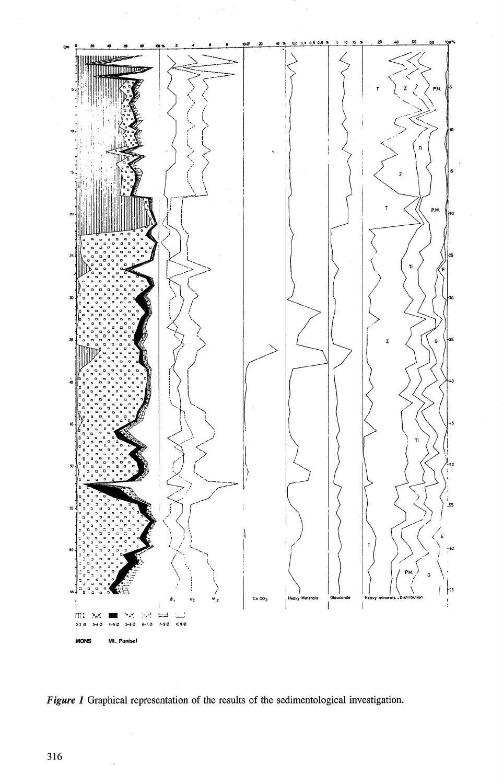

*Figure 1* Graphical representation of the results of the sedimentological investigation.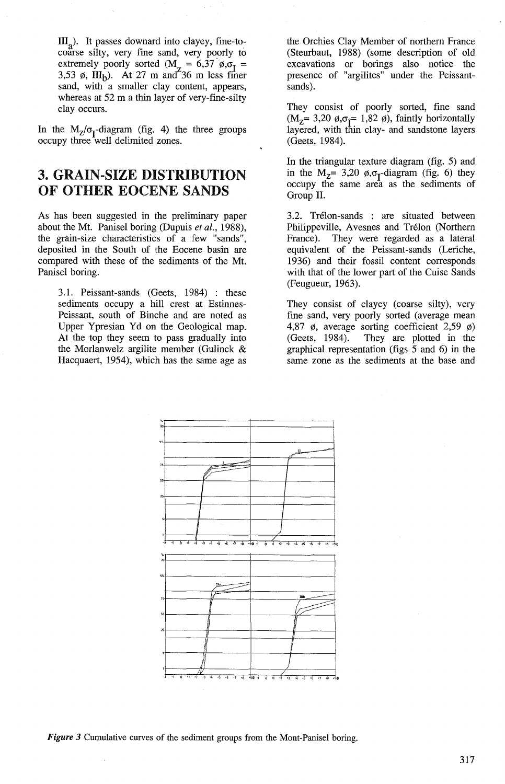$III<sub>a</sub>$ ). It passes downard into clayey, fine-tocoarse silty, very fine sand, very poorly to extremely poorly sorted ( $M_z = 6,37 \phi, \sigma_I = 3,53 \phi$ , III<sub>b</sub>). At 27 m and 36 m less finer sand, with a smaller clay content, appears, whereas at 52 m a thin layer of very-fine-silty clay occurs.

In the  $M_Z/\sigma_Y$ -diagram (fig. 4) the three groups occupy three well delimited zones.

# 3. GRAIN-SIZE DISTRIBUTION OF OTHER EOCENE SANDS

As has been suggested in the preliminary paper about the Mt. Panisel boring (Dupuis *et al.,* 1988), the grain-size characteristics of a few "sands", deposited in the South of the Eocene basin are compared with these of the sediments of the Mt. Panisel boring.

3.1. Peissant-sands (Geets, 1984) : these sediments occupy a hill crest at Estinnes-Peissant, south of Binche and are noted as Upper Ypresian Yd on the Geological map. At the top they seem to pass gradually into the Morlanwelz argilite member (Gulinck & Hacquaert, 1954), which has the same age as the Orchies Clay Member of northem France (Steurbaut, 1988) (some description of old excavations or borings also notice the presence of "argilites" under the Peissantsands).

They consist of poorly sorted, fine sand  $(M<sub>z</sub>= 3,20 \phi, \sigma<sub>z</sub>= 1,82 \phi)$ , faintly horizontally layered, with thin clay- and sandstone layers (Geets, 1984).

In the triangular texture diagram (fig. 5) and in the  $M_{Z}$ = 3,20  $\phi$ , $\sigma_{I}$ -diagram (fig. 6) they occupy the same area as the sediments of Group IL

3.2. Trélon-sands : are situated between Philippeville, Avesnes and Trélon (Northem France). They were regarded as a lateral equivalent of the Peissant-sands (Leriche, 1936) and their fossil content corresponds with that of the lower part of the Cuise Sands (Feugueur, 1963).

They consist of clayey (coarse silty), very fine sand, very poorly sorted (average mean 4,87  $\phi$ , average sorting coefficient 2,59  $\phi$ ) (Geets, 1984). They are plotted in the graphical representation (figs  $\overline{5}$  and 6) in the same zone as the sediments at the base and



*Figure 3* Cumulative curves of the sediment groups from the Mont-Panisel boring.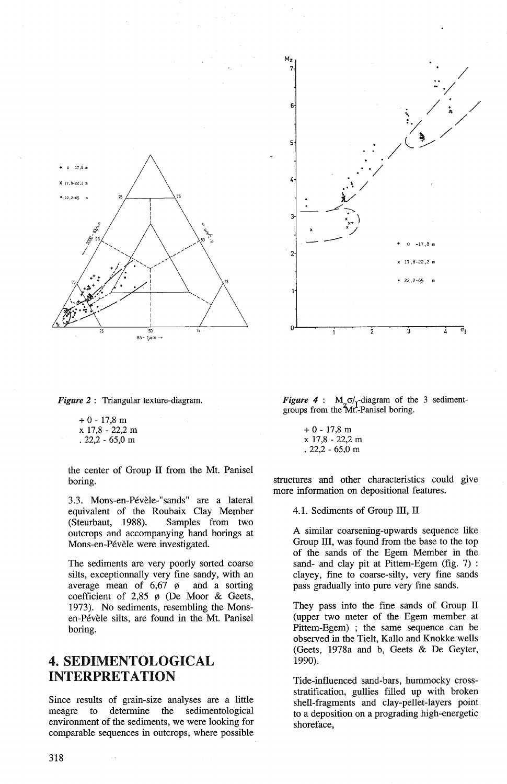



 $+ 0 - 17,8$  m  $x 17,8 - 22,2 m$ . 22,2 - 65,0 m

the center of Group II from the Mt. Panisel boring.

3.3. Mons-en-Pévèle-"sands" are a lateral equivalent of the Roubaix Clay Member<br>(Steurbaut, 1988). Samples from two Samples from two outcrops and accompanying hand borings at Mons-en-Pévèle were investigated.

The sediments are very poorly sorted coarse silts, exceptionnally very fine sandy, with an average mean of  $6,67$   $\phi$  and a sorting coefficient of  $2,85$   $\phi$  (De Moor & Geets, 1973). No sediments, resembling the Monsen-Pévèle silts, are found in the Mt. Panisel boring.

### 4. SEDIMENTOLOGICAL INTERPRETATION

Since results of grain-size analyses are a little meagre to determine the sedimentological environment of the sediments, we were looking for comparable sequences in outcrops, where possible



*Figure 4* :  $M_{7} \sigma /_{1}$ -diagram of the 3 sedimentgroups from the Mt.-Panisel boring.

> $+ 0 - 17.8$  m X 17,8 - 22,2 m . 22,2 - 65,0 m

structures and other characteristics could give more information on depositional features.

4.1. Sediments of Group III, II

A similar coarsening-upwards sequence like Group III, was found from the base to the top of the sands of the Egem Member in the sand- and clay pit at Pittem-Egem (fig. 7) : clayey, fine to coarse-silty, very fine sands pass gradually into pure very fine sands.

They pass into the fine sands of Group II (upper two meter of the Egem member at Pittem-Egem) ; the same sequence can be observed in the Tielt, Kallo and Knokke wells (Geets, 1978a and b, Geets & De Geyter, 1990).

Tide-influenced sand-bars, hummocky crossstratification, gullies filled up with broken shell-fragments and clay-pellet-layers point to a deposition on a prograding high-energetic shoreface,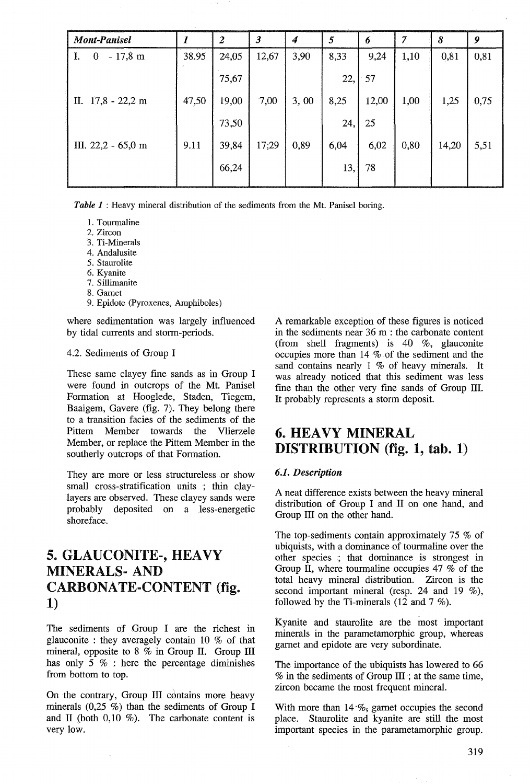| <b>Mont-Panisel</b>                    |       | $\boldsymbol{2}$ | $\boldsymbol{\beta}$ | 4    | 5    | 6     | 7    | 8     | 9    |
|----------------------------------------|-------|------------------|----------------------|------|------|-------|------|-------|------|
| $-17,8 \; \text{m}$<br>$\theta$<br>LI. | 38.95 | 24,05            | 12,67                | 3,90 | 8,33 | 9,24  | 1,10 | 0,81  | 0,81 |
|                                        |       | 75,67            |                      |      | 22,  | 57    |      |       |      |
| II. $17,8 - 22,2$ m                    | 47,50 | 19,00            | 7,00                 | 3,00 | 8,25 | 12,00 | 1,00 | 1,25  | 0,75 |
|                                        |       | 73,50            |                      |      | 24,  | 25    |      |       |      |
| III. $22,2 - 65,0$ m                   | 9.11  | 39,84            | 17,29                | 0,89 | 6,04 | 6,02  | 0,80 | 14,20 | 5,51 |
|                                        |       | 66,24            |                      |      | 13,  | 78    |      |       |      |
|                                        |       |                  |                      |      |      |       |      |       |      |

*Table 1* : Heavy minerai distribution of the sediments from the Mt. Panisel boring.

- 1. Tourmaline
- 2. Zircon
- 3. Ti-Minerais
- 4. Andalusite
- 5. Staurolite
- 6. Kyanite
- 7. Sillimanite
- 8. Gamet
- 9. Epidote (Pyroxenes, Amphiboles)

where sedimentation was largely influenced by tidal currents and storm-periods.

#### 4.2. Sediments of Group 1

These same clayey fine sands as in Group I were found in outcrops of the Mt. Panisel Formation at Hooglede, Staden, Tiegem, Baaigem, Gavere (fig. 7). They belong there to a transition facies of the sediments of the Pittem Member towards the Vlierzele Member, or replace the Pittem Member in the southerly outcrops of that Formation.

They are more or less structureless or show small cross-stratification units ; thin claylayers are observed. These clayey sands were probably deposited on a less-energetic shoreface.

# 5. GLAUCONITE-, HEAVY MINERALS- AND CARBONATE-CONTENT (fig. 1)

The sediments of Group I are the richest in glauconite : they averagely contain 10 % of that mineral, opposite to 8 % in Group II. Group III has only  $5\%$  : here the percentage diminishes from bottom to top.

On the contrary, Group III contains more heavy minerals  $(0,25, %)$  than the sediments of Group I and II (both  $0.10 \%$ ). The carbonate content is very low.

A remarkable exception of these figures is noticed in the sediments near 36 m : the carbonate content (from shell fragments) is 40 %, glauconite occupies more than 14 % of the sediment and the sand contains nearly 1 % of heavy minerals. It was already noticed that this sediment was less fine than the other very fine sands of Group III. It probably represents a storm deposit.

## 6. HEA VY MINERAL DISTRIBUTION (fig. 1, tab. 1)

#### *6.1. Description*

A neat difference exists between the heavy mineral distribution of Group 1 and II on one hand, and Group III on the other hand.

The top-sediments contain approximately 75 % of ubiquists, with a dominance of tourmaline over the other species ; that dominance is strongest in Group II, where tourmaline occupies 47 % of the total heavy mineral distribution. Zircon is the second important mineral (resp. 24 and 19 %), followed by the Ti-minerals (12 and 7 %).

Kyanite and staurolite are the most important minerais in the parametamorphic group, whereas gamet and epidote are very subordinate.

The importance of the ubiquists has lowered to 66 % in the sediments of Group III ; at the same time, zircon became the most frequent minerai.

With more than  $14\%$ , gamet occupies the second place. Staurolite and kyanite are still the most important species in the parametamorphic group.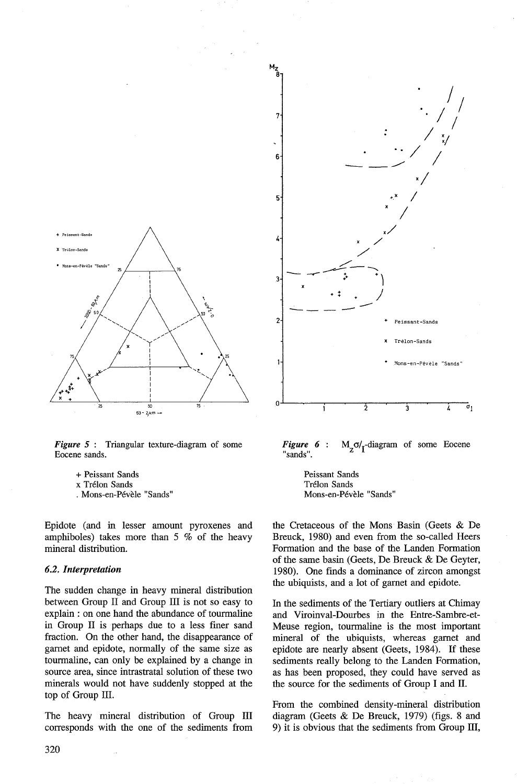

*Figure 5* : Triangular texture-diagram of some Eocene sands.

- + Peissant Sands
- x Trélon Sands
- . Mons-en-Pévèle "Sands"

Epidote (and in lesser amount pyroxenes and amphiboles) takes more than 5 % of the heavy mineral distribution.

#### *6.2. Interpretation*

The sudden change in heavy mineral distribution between Group II and Group III is not so easy to explain : on one hand the abundance of tourmaline in Group II is perhaps due to a less finer sand fraction. On the other hand, the disappearance of gamet and epidote, normally of the same size as tourmaline, can only be explained by a change in source area, since intrastratal solution of these two minerals would not have suddenly stopped at the top of Group III.

The heavy mineral distribution of Group III corresponds with the one of the sediments from



*Figure 6*   $M_{7}O/I$ -diagram of some Eocene "sands".

> Peissant Sands Trélon Sands Mons-en-Pévèle "Sands"

the Cretaceous of the Mons Basin (Geets & De Breuck, 1980) and even from the so-called Heers Formation and the base of the Landen Formation of the same basin (Geets, De Breuck & De Geyter, 1980). One finds a dominance of zircon amongst the ubiquists, and a lot of gamet and epidote.

In the sediments of the Tertiary outliers at Chimay and Viroinval-Dourbes in the Entre-Sambre-et-Meuse region, tourmaline is the most important mineral of the ubiquists, whereas gamet and epidote are nearly absent (Geets, 1984). If these sediments really belong to the Landen Formation, as has been proposed, they could have served as the source for the sediments of Group I and Il.

From the combined density-mineral distribution diagram (Geets & De Breuck, 1979) (figs. 8 and 9) it is obvious that the sediments from Group III,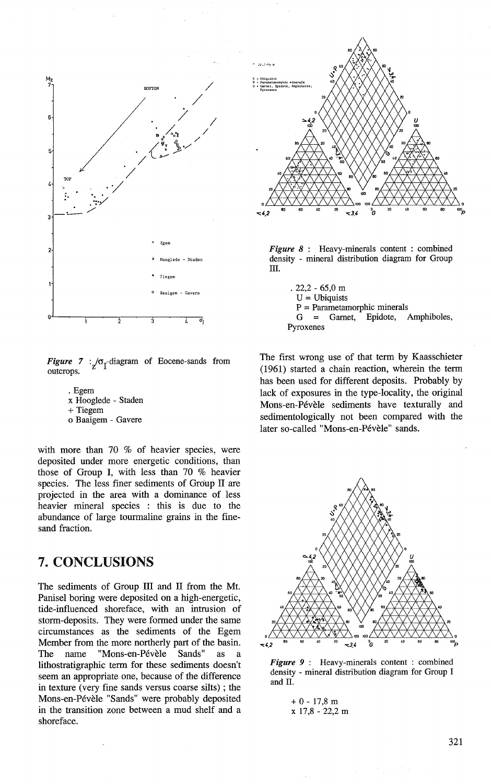

*Figure* 7 :  $\sigma$ <sub>T</sub>-diagram of Eocene-sands from outcrops.

. Egem x Hooglede - Staden +Tiegem o Baaigem - Gavere

with more than 70 % of heavier species, were deposited under more energetic conditions, than those of Group 1, with less than 70 % heavier species. The less finer sediments of Group II are projected in the area with a dominance of less heavier minerai species : this is due to the abundance of large tourmaline grains in the finesand fraction.

# 7. CONCLUSIONS

The sediments of Group III and II from the Mt. Panisel boring were deposited on a high-energetic, tide-influenced shoreface, with an intrusion of storm-deposits. They were formed under the same circumstances as the sediments of the Egem Member from the more northerly part of the basin. The name "Mons-en-Pévèle Sands" as a lithostratigraphic term for these sediments doesn't seem an appropriate one, because of the difference in texture (very fine sands versus coarse silts) ; the Mons-en-Pévèle "Sands" were probably deposited in the transition zone between a mud shelf and a shoreface.



*Figure 8* : Heavy-minerals content : combined density - minerai distribution diagram for Group III.

. 22,2 - 65,0 m  $U = Ubiquists$  $P = Parameterophic minerals$ <br>  $G = Gamet$ , Epidote, Amphiboles,  $G =$  Garnet, Pyroxenes

The first wrong use of that term by Kaasschieter (1961) started a chain reaction, wherein the term has been used for different deposits. Probably by lack of exposures in the type-locality, the original Mons-en-Pévèle sediments have texturally and sedimentologically not been compared with the later so-called "Mons-en-Pévèle" sands.



Figure 9 : Heavy-minerals content : combined density - minerai distribution diagram for Group 1 and IL

 $+ 0 - 17,8$  m X 17,8 - 22,2 m